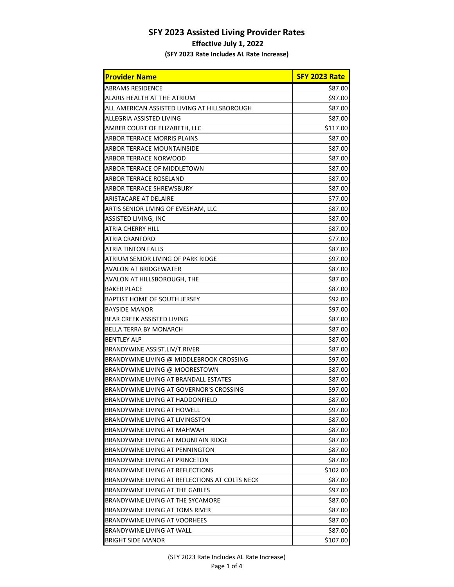## **SFY 2023 Assisted Living Provider Rates**

## **Effective July 1, 2022**

**(SFY 2023 Rate Includes AL Rate Increase)**

| <b>Provider Name</b>                           | SFY 2023 Rate |
|------------------------------------------------|---------------|
| ABRAMS RESIDENCE                               | \$87.00       |
| ALARIS HEALTH AT THE ATRIUM                    | \$97.00       |
| ALL AMERICAN ASSISTED LIVING AT HILLSBOROUGH   | \$87.00       |
| ALLEGRIA ASSISTED LIVING                       | \$87.00       |
| AMBER COURT OF ELIZABETH, LLC                  | \$117.00      |
| ARBOR TERRACE MORRIS PLAINS                    | \$87.00       |
| ARBOR TERRACE MOUNTAINSIDE                     | \$87.00       |
| ARBOR TERRACE NORWOOD                          | \$87.00       |
| ARBOR TERRACE OF MIDDLETOWN                    | \$87.00       |
| ARBOR TERRACE ROSELAND                         | \$87.00       |
| ARBOR TERRACE SHREWSBURY                       | \$87.00       |
| ARISTACARE AT DELAIRE                          | \$77.00       |
| ARTIS SENIOR LIVING OF EVESHAM, LLC            | \$87.00       |
| ASSISTED LIVING, INC                           | \$87.00       |
| ATRIA CHERRY HILL                              | \$87.00       |
| ATRIA CRANFORD                                 | \$77.00       |
| ATRIA TINTON FALLS                             | \$87.00       |
| ATRIUM SENIOR LIVING OF PARK RIDGE             | \$97.00       |
| AVALON AT BRIDGEWATER                          | \$87.00       |
| AVALON AT HILLSBOROUGH, THE                    | \$87.00       |
| <b>BAKER PLACE</b>                             | \$87.00       |
| BAPTIST HOME OF SOUTH JERSEY                   | \$92.00       |
| BAYSIDE MANOR                                  | \$97.00       |
| BEAR CREEK ASSISTED LIVING                     | \$87.00       |
| BELLA TERRA BY MONARCH                         | \$87.00       |
| BENTLEY ALP                                    | \$87.00       |
| BRANDYWINE ASSIST.LIV/T.RIVER                  | \$87.00       |
| BRANDYWINE LIVING @ MIDDLEBROOK CROSSING       | \$97.00       |
| BRANDYWINE LIVING @ MOORESTOWN                 | \$87.00       |
| BRANDYWINE LIVING AT BRANDALL ESTATES          | \$87.00       |
| BRANDYWINE LIVING AT GOVERNOR'S CROSSING       | \$97.00       |
| BRANDYWINE LIVING AT HADDONFIELD               | \$87.00       |
| BRANDYWINE LIVING AT HOWELL                    | \$97.00       |
| BRANDYWINE LIVING AT LIVINGSTON                | \$87.00       |
| BRANDYWINE LIVING AT MAHWAH                    | \$87.00       |
| BRANDYWINE LIVING AT MOUNTAIN RIDGE            | \$87.00       |
| BRANDYWINE LIVING AT PENNINGTON                | \$87.00       |
| BRANDYWINE LIVING AT PRINCETON                 | \$87.00       |
| BRANDYWINE LIVING AT REFLECTIONS               | \$102.00      |
| BRANDYWINE LIVING AT REFLECTIONS AT COLTS NECK | \$87.00       |
| BRANDYWINE LIVING AT THE GABLES                | \$97.00       |
| BRANDYWINE LIVING AT THE SYCAMORE              | \$87.00       |
| BRANDYWINE LIVING AT TOMS RIVER                | \$87.00       |
| BRANDYWINE LIVING AT VOORHEES                  | \$87.00       |
| BRANDYWINE LIVING AT WALL                      | \$87.00       |
| <b>BRIGHT SIDE MANOR</b>                       | \$107.00      |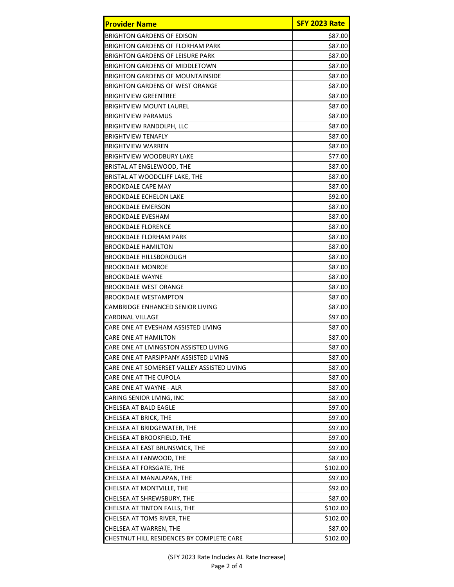| <b>Provider Name</b>                        | SFY 2023 Rate |
|---------------------------------------------|---------------|
| <b>BRIGHTON GARDENS OF EDISON</b>           | \$87.00       |
| <b>BRIGHTON GARDENS OF FLORHAM PARK</b>     | \$87.00       |
| <b>BRIGHTON GARDENS OF LEISURE PARK</b>     | \$87.00       |
| <b>BRIGHTON GARDENS OF MIDDLETOWN</b>       | \$87.00       |
| <b>BRIGHTON GARDENS OF MOUNTAINSIDE</b>     | \$87.00       |
| <b>BRIGHTON GARDENS OF WEST ORANGE</b>      | \$87.00       |
| <b>BRIGHTVIEW GREENTREE</b>                 | \$87.00       |
| <b>BRIGHTVIEW MOUNT LAUREL</b>              | \$87.00       |
| <b>BRIGHTVIEW PARAMUS</b>                   | \$87.00       |
| <b>BRIGHTVIEW RANDOLPH, LLC</b>             | \$87.00       |
| <b>BRIGHTVIEW TENAFLY</b>                   | \$87.00       |
| <b>BRIGHTVIEW WARREN</b>                    | \$87.00       |
| <b>BRIGHTVIEW WOODBURY LAKE</b>             | \$77.00       |
| BRISTAL AT ENGLEWOOD, THE                   | \$87.00       |
| BRISTAL AT WOODCLIFF LAKE, THE              | \$87.00       |
| <b>BROOKDALE CAPE MAY</b>                   | \$87.00       |
| <b>BROOKDALE ECHELON LAKE</b>               | \$92.00       |
| <b>BROOKDALE EMERSON</b>                    | \$87.00       |
| <b>BROOKDALE EVESHAM</b>                    | \$87.00       |
| <b>BROOKDALE FLORENCE</b>                   | \$87.00       |
| <b>BROOKDALE FLORHAM PARK</b>               | \$87.00       |
| <b>BROOKDALE HAMILTON</b>                   | \$87.00       |
| <b>BROOKDALE HILLSBOROUGH</b>               | \$87.00       |
| <b>BROOKDALE MONROE</b>                     | \$87.00       |
| <b>BROOKDALE WAYNE</b>                      | \$87.00       |
| <b>BROOKDALE WEST ORANGE</b>                | \$87.00       |
| <b>BROOKDALE WESTAMPTON</b>                 | \$87.00       |
| CAMBRIDGE ENHANCED SENIOR LIVING            | \$87.00       |
| CARDINAL VILLAGE                            | \$97.00       |
| CARE ONE AT EVESHAM ASSISTED LIVING         | \$87.00       |
| CARE ONE AT HAMILTON                        | \$87.00       |
| CARE ONE AT LIVINGSTON ASSISTED LIVING      | \$87.00       |
| CARE ONE AT PARSIPPANY ASSISTED LIVING      | \$87.00       |
| CARE ONE AT SOMERSET VALLEY ASSISTED LIVING | \$87.00       |
| CARE ONE AT THE CUPOLA                      | \$87.00       |
| CARE ONE AT WAYNE - ALR                     | \$87.00       |
| CARING SENIOR LIVING, INC                   | \$87.00       |
| CHELSEA AT BALD EAGLE                       | \$97.00       |
| CHELSEA AT BRICK, THE                       | \$97.00       |
| CHELSEA AT BRIDGEWATER, THE                 | \$97.00       |
| CHELSEA AT BROOKFIELD, THE                  | \$97.00       |
| CHELSEA AT EAST BRUNSWICK, THE              | \$97.00       |
| CHELSEA AT FANWOOD, THE                     | \$87.00       |
| CHELSEA AT FORSGATE, THE                    | \$102.00      |
| CHELSEA AT MANALAPAN, THE                   | \$97.00       |
| CHELSEA AT MONTVILLE, THE                   | \$92.00       |
| CHELSEA AT SHREWSBURY, THE                  | \$87.00       |
| CHELSEA AT TINTON FALLS, THE                | \$102.00      |
| CHELSEA AT TOMS RIVER, THE                  | \$102.00      |
| CHELSEA AT WARREN, THE                      | \$87.00       |
| CHESTNUT HILL RESIDENCES BY COMPLETE CARE   | \$102.00      |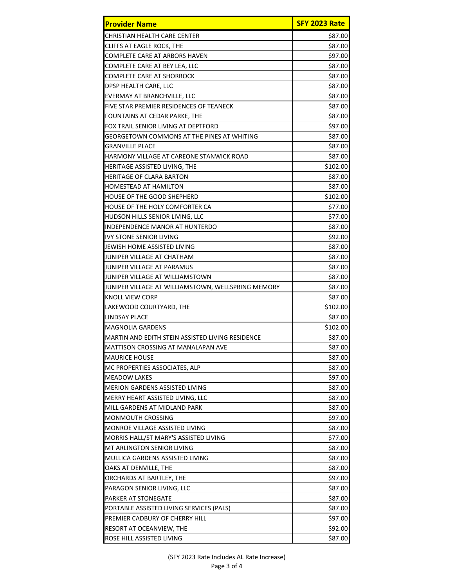| <b>Provider Name</b>                               | SFY 2023 Rate |
|----------------------------------------------------|---------------|
| CHRISTIAN HEALTH CARE CENTER                       | \$87.00       |
| CLIFFS AT EAGLE ROCK, THE                          | \$87.00       |
| COMPLETE CARE AT ARBORS HAVEN                      | \$97.00       |
| COMPLETE CARE AT BEY LEA, LLC                      | \$87.00       |
| COMPLETE CARE AT SHORROCK                          | \$87.00       |
| DPSP HEALTH CARE, LLC                              | \$87.00       |
| EVERMAY AT BRANCHVILLE, LLC                        | \$87.00       |
| <b>FIVE STAR PREMIER RESIDENCES OF TEANECK</b>     | \$87.00       |
| FOUNTAINS AT CEDAR PARKE, THE                      | \$87.00       |
| FOX TRAIL SENIOR LIVING AT DEPTFORD                | \$97.00       |
| GEORGETOWN COMMONS AT THE PINES AT WHITING         | \$87.00       |
| GRANVILLE PLACE                                    | \$87.00       |
| HARMONY VILLAGE AT CAREONE STANWICK ROAD           | \$87.00       |
| HERITAGE ASSISTED LIVING, THE                      | \$102.00      |
| <b>HERITAGE OF CLARA BARTON</b>                    | \$87.00       |
| <b>HOMESTEAD AT HAMILTON</b>                       | \$87.00       |
| <b>HOUSE OF THE GOOD SHEPHERD</b>                  | \$102.00      |
| HOUSE OF THE HOLY COMFORTER CA                     | \$77.00       |
| HUDSON HILLS SENIOR LIVING, LLC                    | \$77.00       |
| INDEPENDENCE MANOR AT HUNTERDO                     | \$87.00       |
| <b>IVY STONE SENIOR LIVING</b>                     | \$92.00       |
| JEWISH HOME ASSISTED LIVING                        | \$87.00       |
| JUNIPER VILLAGE AT CHATHAM                         | \$87.00       |
| JUNIPER VILLAGE AT PARAMUS                         | \$87.00       |
| JUNIPER VILLAGE AT WILLIAMSTOWN                    | \$87.00       |
| JUNIPER VILLAGE AT WILLIAMSTOWN, WELLSPRING MEMORY | \$87.00       |
| <b>KNOLL VIEW CORP</b>                             | \$87.00       |
| LAKEWOOD COURTYARD, THE                            | \$102.00      |
| LINDSAY PLACE                                      | \$87.00       |
| <b>MAGNOLIA GARDENS</b>                            | \$102.00      |
| MARTIN AND EDITH STEIN ASSISTED LIVING RESIDENCE   | \$87.00       |
| MATTISON CROSSING AT MANALAPAN AVE                 | \$87.00       |
| <b>MAURICE HOUSE</b>                               | \$87.00       |
| MC PROPERTIES ASSOCIATES, ALP                      | \$87.00       |
| <b>MEADOW LAKES</b>                                | \$97.00       |
| MERION GARDENS ASSISTED LIVING                     | \$87.00       |
| MERRY HEART ASSISTED LIVING, LLC                   | \$87.00       |
| MILL GARDENS AT MIDLAND PARK                       | \$87.00       |
| <b>MONMOUTH CROSSING</b>                           | \$97.00       |
| MONROE VILLAGE ASSISTED LIVING                     | \$87.00       |
| MORRIS HALL/ST MARY'S ASSISTED LIVING              | \$77.00       |
| MT ARLINGTON SENIOR LIVING                         | \$87.00       |
| MULLICA GARDENS ASSISTED LIVING                    | \$87.00       |
| OAKS AT DENVILLE, THE                              | \$87.00       |
| ORCHARDS AT BARTLEY, THE                           | \$97.00       |
| PARAGON SENIOR LIVING, LLC                         | \$87.00       |
| PARKER AT STONEGATE                                | \$87.00       |
| PORTABLE ASSISTED LIVING SERVICES (PALS)           | \$87.00       |
| PREMIER CADBURY OF CHERRY HILL                     | \$97.00       |
| RESORT AT OCEANVIEW, THE                           | \$92.00       |
| ROSE HILL ASSISTED LIVING                          | \$87.00       |